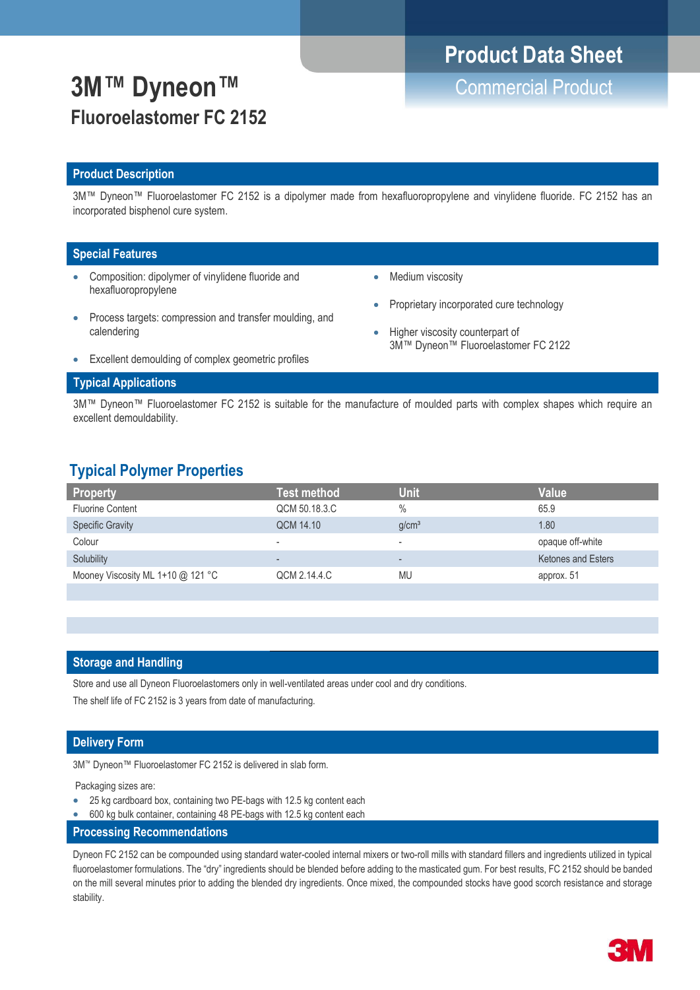# **Product Data Sheet**

# **3M™ Dyneon™** Commercial Product **Fluoroelastomer FC 2152**

## **Product Description**

3M™ Dyneon™ Fluoroelastomer FC 2152 is a dipolymer made from hexafluoropropylene and vinylidene fluoride. FC 2152 has an incorporated bisphenol cure system.

### **Special Features**

- Composition: dipolymer of vinylidene fluoride and hexafluoropropylene
- Medium viscosity

Proprietary incorporated cure technology

3M™ Dyneon™ Fluoroelastomer FC 2122

Higher viscosity counterpart of

- Process targets: compression and transfer moulding, and calendering
	-
- Excellent demoulding of complex geometric profiles

### **Typical Applications**

3M™ Dyneon™ Fluoroelastomer FC 2152 is suitable for the manufacture of moulded parts with complex shapes which require an excellent demouldability.

## **Typical Polymer Properties**

| Property                          | Test method              | Unit                     | <b>Value</b>              |
|-----------------------------------|--------------------------|--------------------------|---------------------------|
| <b>Fluorine Content</b>           | QCM 50.18.3.C            | $\frac{0}{0}$            | 65.9                      |
| <b>Specific Gravity</b>           | QCM 14.10                | q/cm <sup>3</sup>        | 1.80                      |
| Colour                            | $\overline{\phantom{a}}$ | -                        | opaque off-white          |
| Solubility                        | $\overline{\phantom{a}}$ | $\overline{\phantom{0}}$ | <b>Ketones and Esters</b> |
| Mooney Viscosity ML 1+10 @ 121 °C | QCM 2.14.4.C             | MU                       | approx. 51                |
|                                   |                          |                          |                           |

### **Storage and Handling**

Store and use all Dyneon Fluoroelastomers only in well-ventilated areas under cool and dry conditions.

The shelf life of FC 2152 is 3 years from date of manufacturing.

## **Delivery Form**

3M™ Dyneon™ Fluoroelastomer FC 2152 is delivered in slab form.

Packaging sizes are:

- 25 kg cardboard box, containing two PE-bags with 12.5 kg content each
- 600 kg bulk container, containing 48 PE-bags with 12.5 kg content each
- **Processing Recommendations**

Dyneon FC 2152 can be compounded using standard water-cooled internal mixers or two-roll mills with standard fillers and ingredients utilized in typical fluoroelastomer formulations. The "dry" ingredients should be blended before adding to the masticated gum. For best results, FC 2152 should be banded on the mill several minutes prior to adding the blended dry ingredients. Once mixed, the compounded stocks have good scorch resistance and storage stability.

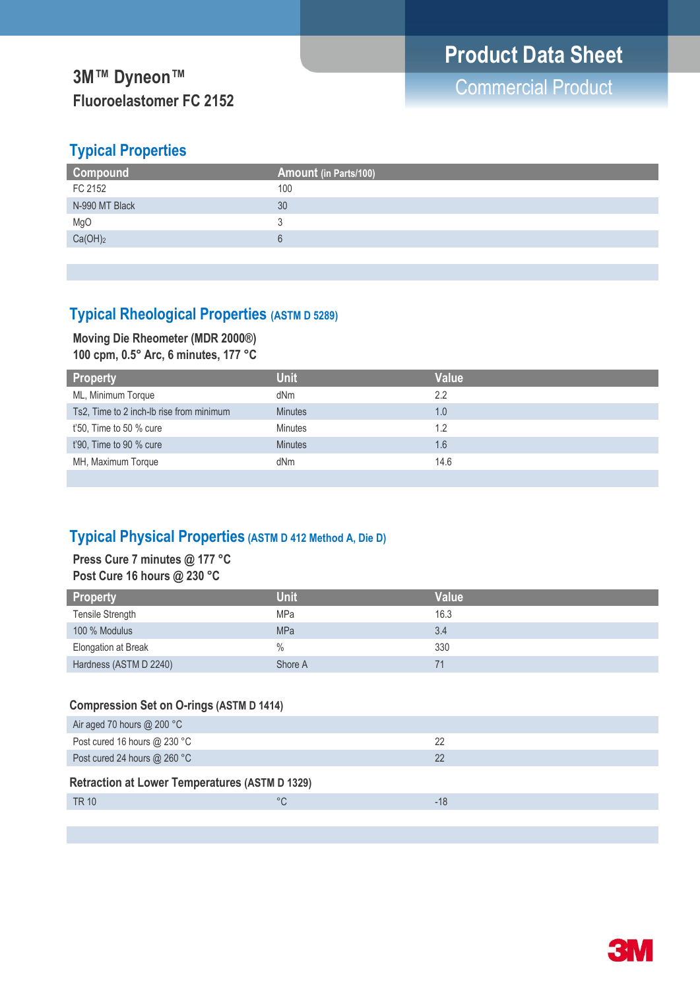## **Typical Properties**

| <b>Compound</b>     | Amount (in Parts/100) |
|---------------------|-----------------------|
| FC 2152             | 100                   |
| N-990 MT Black      | 30                    |
| MgO                 |                       |
| Ca(OH) <sub>2</sub> | $\overline{a}$        |
|                     |                       |

## **Typical Rheological Properties (ASTM D 5289)**

## **Moving Die Rheometer (MDR 2000®) 100 cpm, 0.5° Arc, 6 minutes, 177 °C**

| <b>Property</b>                          | <b>Unit</b>    | Value |
|------------------------------------------|----------------|-------|
| ML, Minimum Torque                       | dNm            | 2.2   |
| Ts2, Time to 2 inch-lb rise from minimum | <b>Minutes</b> | 1.0   |
| $t'50$ , Time to 50 % cure               | <b>Minutes</b> | 1.2   |
| t'90, Time to 90 % cure                  | <b>Minutes</b> | 1.6   |
| MH, Maximum Torque                       | dNm            | 14.6  |

## **Typical Physical Properties (ASTM D 412 Method A, Die D)**

## **Press Cure 7 minutes @ 177 °C Post Cure 16 hours @ 230 °C**

| <b>Property</b>        | <b>Unit</b>   | <b>Value</b> |
|------------------------|---------------|--------------|
| Tensile Strength       | MPa           | 16.3         |
| 100 % Modulus          | <b>MPa</b>    | 3.4          |
| Elongation at Break    | $\frac{0}{0}$ | 330          |
| Hardness (ASTM D 2240) | Shore A       |              |

## **Compression Set on O-rings (ASTM D 1414)**

| Air aged 70 hours @ 200 $^{\circ}$ C                  |              |       |
|-------------------------------------------------------|--------------|-------|
| Post cured 16 hours @ 230 °C                          |              | 22    |
| Post cured 24 hours @ 260 °C                          |              | 22    |
| <b>Retraction at Lower Temperatures (ASTM D 1329)</b> |              |       |
| <b>TR 10</b>                                          | $^{\circ}$ C | $-18$ |
|                                                       |              |       |